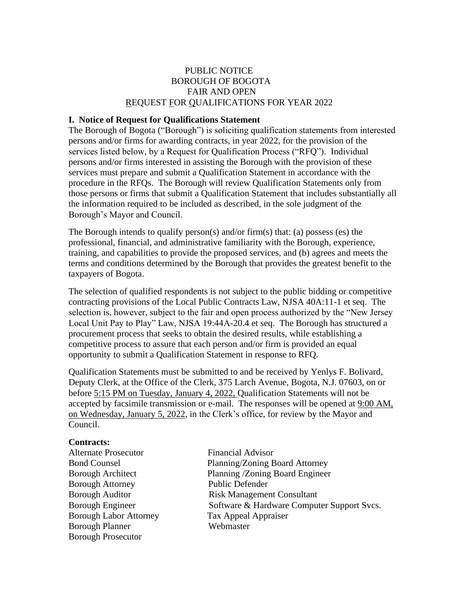# PUBLIC NOTICE BOROUGH OF BOGOTA FAIR AND OPEN REQUEST FOR QUALIFICATIONS FOR YEAR 2022

#### **I. Notice of Request for Qualifications Statement**

The Borough of Bogota ("Borough") is soliciting qualification statements from interested persons and/or firms for awarding contracts, in year 2022, for the provision of the services listed below, by a Request for Qualification Process ("RFQ"). Individual persons and/or firms interested in assisting the Borough with the provision of these services must prepare and submit a Qualification Statement in accordance with the procedure in the RFQs. The Borough will review Qualification Statements only from those persons or firms that submit a Qualification Statement that includes substantially all the information required to be included as described, in the sole judgment of the Borough's Mayor and Council.

The Borough intends to qualify person(s) and/or firm(s) that: (a) possess (es) the professional, financial, and administrative familiarity with the Borough, experience, training, and capabilities to provide the proposed services, and (b) agrees and meets the terms and conditions determined by the Borough that provides the greatest benefit to the taxpayers of Bogota.

The selection of qualified respondents is not subject to the public bidding or competitive contracting provisions of the Local Public Contracts Law, NJSA 40A:11-1 et seq. The selection is, however, subject to the fair and open process authorized by the "New Jersey Local Unit Pay to Play" Law, NJSA 19:44A-20.4 et seq. The Borough has structured a procurement process that seeks to obtain the desired results, while establishing a competitive process to assure that each person and/or firm is provided an equal opportunity to submit a Qualification Statement in response to RFQ.

Qualification Statements must be submitted to and be received by Yenlys F. Bolivard, Deputy Clerk, at the Office of the Clerk, 375 Larch Avenue, Bogota, N.J. 07603, on or before 5:15 PM on Tuesday, January 4, 2022, Qualification Statements will not be accepted by facsimile transmission or e-mail. The responses will be opened at 9:00 AM, on Wednesday, January 5, 2022, in the Clerk's office, for review by the Mayor and Council.

## **Contracts:**

Alternate Prosecutor Financial Advisor Borough Attorney Public Defender Borough Labor Attorney Tax Appeal Appraiser Borough Planner Webmaster Borough Prosecutor

Bond Counsel Planning/Zoning Board Attorney Borough Architect Planning /Zoning Board Engineer Borough Auditor **Risk Management Consultant** Borough Engineer Software & Hardware Computer Support Svcs.